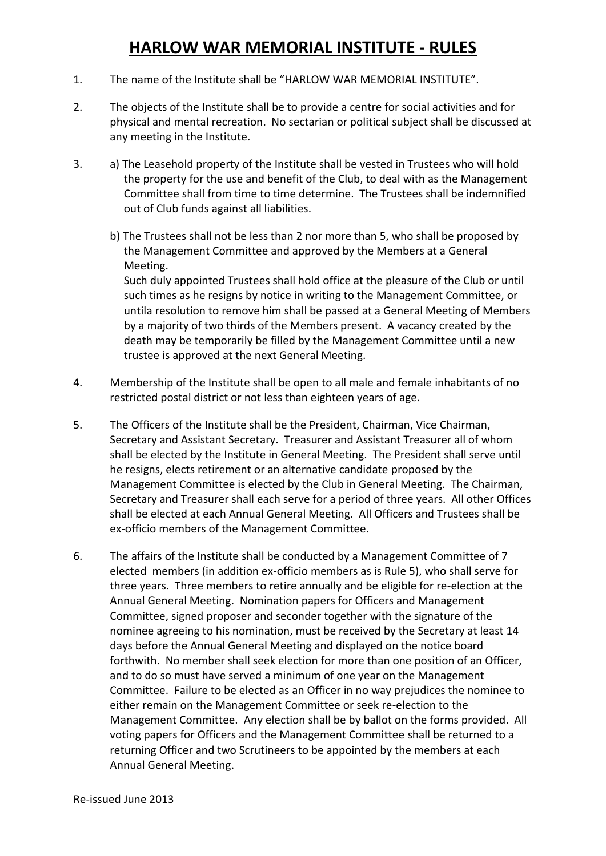- 1. The name of the Institute shall be "HARLOW WAR MEMORIAL INSTITUTE".
- 2. The objects of the Institute shall be to provide a centre for social activities and for physical and mental recreation. No sectarian or political subject shall be discussed at any meeting in the Institute.
- 3. a) The Leasehold property of the Institute shall be vested in Trustees who will hold the property for the use and benefit of the Club, to deal with as the Management Committee shall from time to time determine. The Trustees shall be indemnified out of Club funds against all liabilities.
	- b) The Trustees shall not be less than 2 nor more than 5, who shall be proposed by the Management Committee and approved by the Members at a General Meeting.

 Such duly appointed Trustees shall hold office at the pleasure of the Club or until such times as he resigns by notice in writing to the Management Committee, or untila resolution to remove him shall be passed at a General Meeting of Members by a majority of two thirds of the Members present. A vacancy created by the death may be temporarily be filled by the Management Committee until a new trustee is approved at the next General Meeting.

- 4. Membership of the Institute shall be open to all male and female inhabitants of no restricted postal district or not less than eighteen years of age.
- 5. The Officers of the Institute shall be the President, Chairman, Vice Chairman, Secretary and Assistant Secretary. Treasurer and Assistant Treasurer all of whom shall be elected by the Institute in General Meeting. The President shall serve until he resigns, elects retirement or an alternative candidate proposed by the Management Committee is elected by the Club in General Meeting. The Chairman, Secretary and Treasurer shall each serve for a period of three years. All other Offices shall be elected at each Annual General Meeting. All Officers and Trustees shall be ex-officio members of the Management Committee.
- 6. The affairs of the Institute shall be conducted by a Management Committee of 7 elected members (in addition ex-officio members as is Rule 5), who shall serve for three years. Three members to retire annually and be eligible for re-election at the Annual General Meeting. Nomination papers for Officers and Management Committee, signed proposer and seconder together with the signature of the nominee agreeing to his nomination, must be received by the Secretary at least 14 days before the Annual General Meeting and displayed on the notice board forthwith. No member shall seek election for more than one position of an Officer, and to do so must have served a minimum of one year on the Management Committee. Failure to be elected as an Officer in no way prejudices the nominee to either remain on the Management Committee or seek re-election to the Management Committee. Any election shall be by ballot on the forms provided. All voting papers for Officers and the Management Committee shall be returned to a returning Officer and two Scrutineers to be appointed by the members at each Annual General Meeting.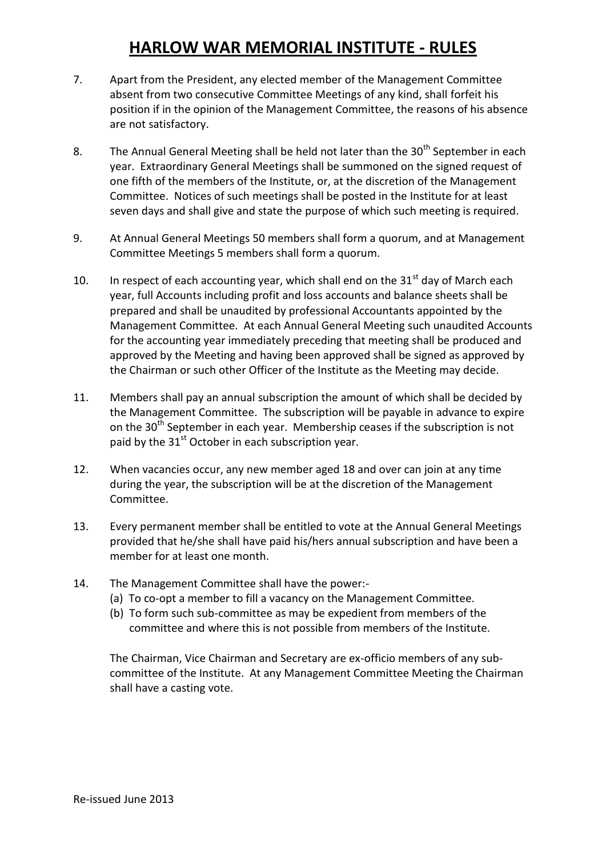- 7. Apart from the President, any elected member of the Management Committee absent from two consecutive Committee Meetings of any kind, shall forfeit his position if in the opinion of the Management Committee, the reasons of his absence are not satisfactory.
- 8. The Annual General Meeting shall be held not later than the  $30<sup>th</sup>$  September in each year. Extraordinary General Meetings shall be summoned on the signed request of one fifth of the members of the Institute, or, at the discretion of the Management Committee. Notices of such meetings shall be posted in the Institute for at least seven days and shall give and state the purpose of which such meeting is required.
- 9. At Annual General Meetings 50 members shall form a quorum, and at Management Committee Meetings 5 members shall form a quorum.
- 10. In respect of each accounting year, which shall end on the  $31<sup>st</sup>$  day of March each year, full Accounts including profit and loss accounts and balance sheets shall be prepared and shall be unaudited by professional Accountants appointed by the Management Committee. At each Annual General Meeting such unaudited Accounts for the accounting year immediately preceding that meeting shall be produced and approved by the Meeting and having been approved shall be signed as approved by the Chairman or such other Officer of the Institute as the Meeting may decide.
- 11. Members shall pay an annual subscription the amount of which shall be decided by the Management Committee. The subscription will be payable in advance to expire on the  $30<sup>th</sup>$  September in each year. Membership ceases if the subscription is not paid by the  $31<sup>st</sup>$  October in each subscription year.
- 12. When vacancies occur, any new member aged 18 and over can join at any time during the year, the subscription will be at the discretion of the Management Committee.
- 13. Every permanent member shall be entitled to vote at the Annual General Meetings provided that he/she shall have paid his/hers annual subscription and have been a member for at least one month.
- 14. The Management Committee shall have the power:-
	- (a) To co-opt a member to fill a vacancy on the Management Committee.
	- (b) To form such sub-committee as may be expedient from members of the committee and where this is not possible from members of the Institute.

The Chairman, Vice Chairman and Secretary are ex-officio members of any subcommittee of the Institute. At any Management Committee Meeting the Chairman shall have a casting vote.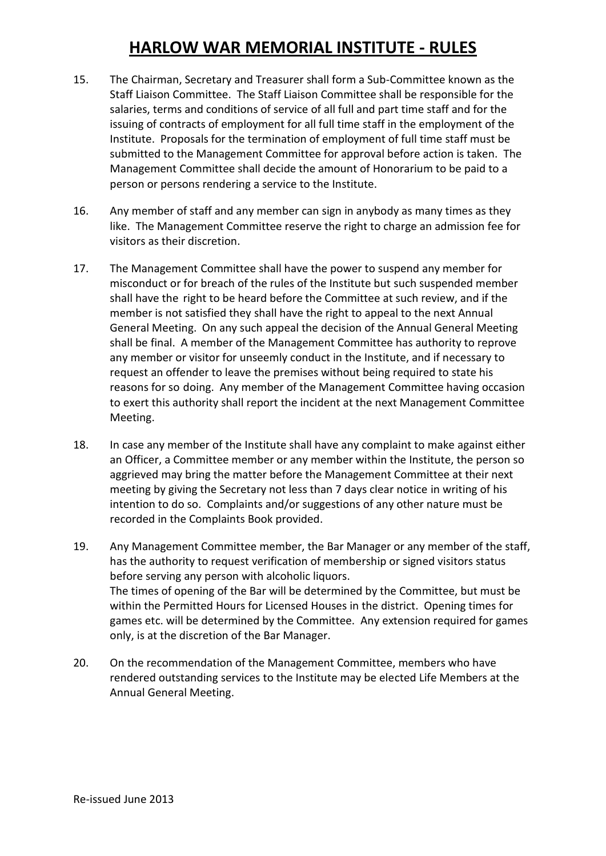- 15. The Chairman, Secretary and Treasurer shall form a Sub-Committee known as the Staff Liaison Committee. The Staff Liaison Committee shall be responsible for the salaries, terms and conditions of service of all full and part time staff and for the issuing of contracts of employment for all full time staff in the employment of the Institute. Proposals for the termination of employment of full time staff must be submitted to the Management Committee for approval before action is taken. The Management Committee shall decide the amount of Honorarium to be paid to a person or persons rendering a service to the Institute.
- 16. Any member of staff and any member can sign in anybody as many times as they like. The Management Committee reserve the right to charge an admission fee for visitors as their discretion.
- 17. The Management Committee shall have the power to suspend any member for misconduct or for breach of the rules of the Institute but such suspended member shall have the right to be heard before the Committee at such review, and if the member is not satisfied they shall have the right to appeal to the next Annual General Meeting. On any such appeal the decision of the Annual General Meeting shall be final. A member of the Management Committee has authority to reprove any member or visitor for unseemly conduct in the Institute, and if necessary to request an offender to leave the premises without being required to state his reasons for so doing. Any member of the Management Committee having occasion to exert this authority shall report the incident at the next Management Committee Meeting.
- 18. In case any member of the Institute shall have any complaint to make against either an Officer, a Committee member or any member within the Institute, the person so aggrieved may bring the matter before the Management Committee at their next meeting by giving the Secretary not less than 7 days clear notice in writing of his intention to do so. Complaints and/or suggestions of any other nature must be recorded in the Complaints Book provided.
- 19. Any Management Committee member, the Bar Manager or any member of the staff, has the authority to request verification of membership or signed visitors status before serving any person with alcoholic liquors. The times of opening of the Bar will be determined by the Committee, but must be within the Permitted Hours for Licensed Houses in the district. Opening times for games etc. will be determined by the Committee. Any extension required for games only, is at the discretion of the Bar Manager.
- 20. On the recommendation of the Management Committee, members who have rendered outstanding services to the Institute may be elected Life Members at the Annual General Meeting.